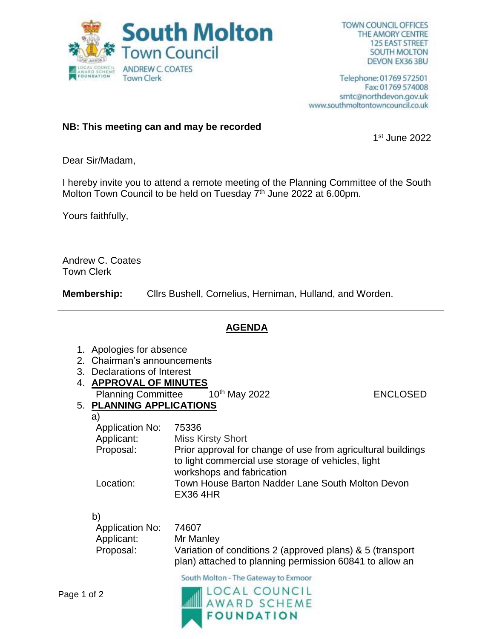

Telephone: 01769 572501 Fax: 01769 574008 smtc@northdevon.gov.uk www.southmoltontowncouncil.co.uk

## **NB: This meeting can and may be recorded**

1 st June 2022

Dear Sir/Madam,

I hereby invite you to attend a remote meeting of the Planning Committee of the South Molton Town Council to be held on Tuesday 7<sup>th</sup> June 2022 at 6.00pm.

Yours faithfully,

Andrew C. Coates Town Clerk

**Membership:** Cllrs Bushell, Cornelius, Herniman, Hulland, and Worden.

## **AGENDA**

- 1. Apologies for absence
- 2. Chairman's announcements
- 3. Declarations of Interest
- 4. **APPROVAL OF MINUTES**
	- Planning Committee 10<sup>th</sup> May 2022 **ENCLOSED**

## 5. **PLANNING APPLICATIONS**

a)

| Application No: | 75336                                                                                                                                           |
|-----------------|-------------------------------------------------------------------------------------------------------------------------------------------------|
| Applicant:      | <b>Miss Kirsty Short</b>                                                                                                                        |
| Proposal:       | Prior approval for change of use from agricultural buildings<br>to light commercial use storage of vehicles, light<br>workshops and fabrication |
| Location:       | Town House Barton Nadder Lane South Molton Devon<br><b>EX36 4HR</b>                                                                             |

b)

| Application No: | 74607                                                     |
|-----------------|-----------------------------------------------------------|
| Applicant:      | Mr Manley                                                 |
| Proposal:       | Variation of conditions 2 (approved plans) & 5 (transport |
|                 | plan) attached to planning permission 60841 to allow an   |

South Molton - The Gateway to Exmoor